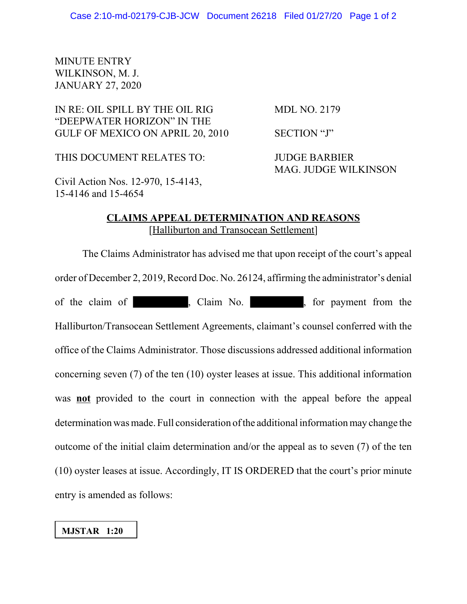## MINUTE ENTRY WILKINSON, M. J. JANUARY 27, 2020

IN RE: OIL SPILL BY THE OIL RIG MDL NO. 2179 "DEEPWATER HORIZON" IN THE GULF OF MEXICO ON APRIL 20, 2010 SECTION "J"

THIS DOCUMENT RELATES TO: JUDGE BARBIER

MAG. JUDGE WILKINSON

Civil Action Nos. 12-970, 15-4143, 15-4146 and 15-4654

## **CLAIMS APPEAL DETERMINATION AND REASONS** [Halliburton and Transocean Settlement]

The Claims Administrator has advised me that upon receipt of the court's appeal order of December 2, 2019, Record Doc. No. 26124, affirming the administrator's denial of the claim of , Claim No. , for payment from the Halliburton/Transocean Settlement Agreements, claimant's counsel conferred with the office of the Claims Administrator. Those discussions addressed additional information concerning seven (7) of the ten (10) oyster leases at issue. This additional information was **not** provided to the court in connection with the appeal before the appeal determination was made. Full consideration of the additional information may change the outcome of the initial claim determination and/or the appeal as to seven (7) of the ten (10) oyster leases at issue. Accordingly, IT IS ORDERED that the court's prior minute entry is amended as follows:

## **MJSTAR 1:20**